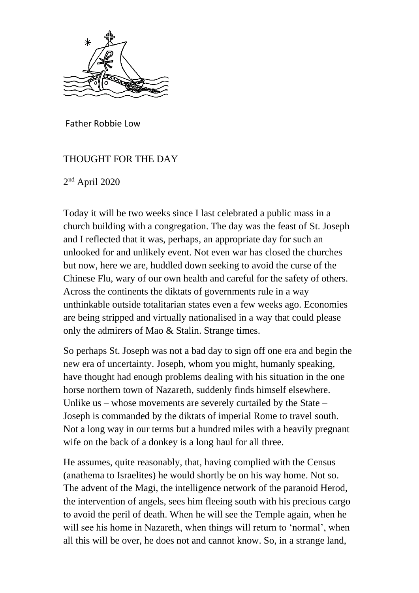

Father Robbie Low

## THOUGHT FOR THE DAY

2 nd April 2020

Today it will be two weeks since I last celebrated a public mass in a church building with a congregation. The day was the feast of St. Joseph and I reflected that it was, perhaps, an appropriate day for such an unlooked for and unlikely event. Not even war has closed the churches but now, here we are, huddled down seeking to avoid the curse of the Chinese Flu, wary of our own health and careful for the safety of others. Across the continents the diktats of governments rule in a way unthinkable outside totalitarian states even a few weeks ago. Economies are being stripped and virtually nationalised in a way that could please only the admirers of Mao & Stalin. Strange times.

So perhaps St. Joseph was not a bad day to sign off one era and begin the new era of uncertainty. Joseph, whom you might, humanly speaking, have thought had enough problems dealing with his situation in the one horse northern town of Nazareth, suddenly finds himself elsewhere. Unlike us – whose movements are severely curtailed by the State – Joseph is commanded by the diktats of imperial Rome to travel south. Not a long way in our terms but a hundred miles with a heavily pregnant wife on the back of a donkey is a long haul for all three.

He assumes, quite reasonably, that, having complied with the Census (anathema to Israelites) he would shortly be on his way home. Not so. The advent of the Magi, the intelligence network of the paranoid Herod, the intervention of angels, sees him fleeing south with his precious cargo to avoid the peril of death. When he will see the Temple again, when he will see his home in Nazareth, when things will return to 'normal', when all this will be over, he does not and cannot know. So, in a strange land,